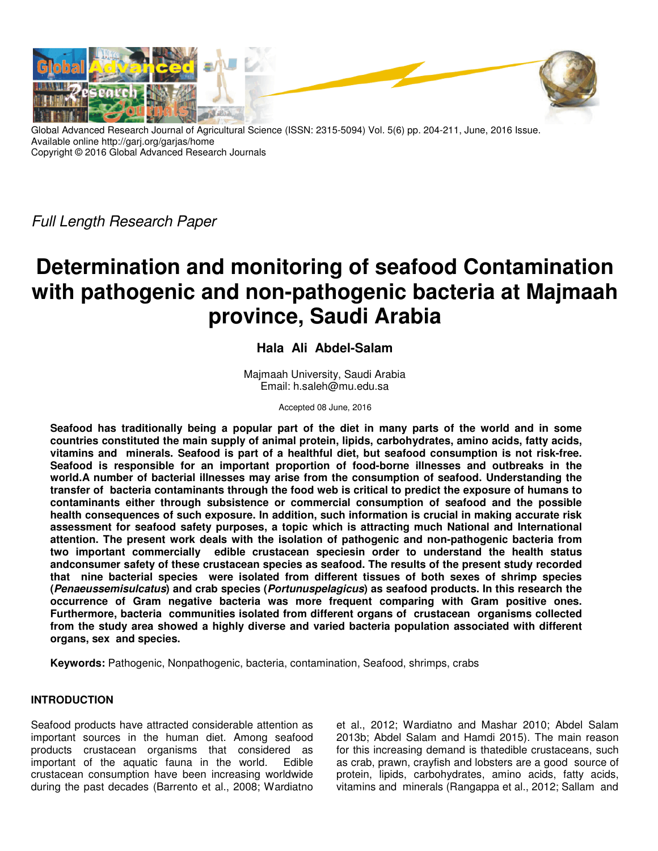

Global Advanced Research Journal of Agricultural Science (ISSN: 2315-5094) Vol. 5(6) pp. 204-211, June, 2016 Issue. Available online http://garj.org/garjas/home Copyright © 2016 Global Advanced Research Journals

Full Length Research Paper

# **Determination and monitoring of seafood Contamination with pathogenic and non-pathogenic bacteria at Majmaah province, Saudi Arabia**

# **Hala Ali Abdel-Salam**

Majmaah University, Saudi Arabia Email: h.saleh@mu.edu.sa

Accepted 08 June, 2016

**Seafood has traditionally being a popular part of the diet in many parts of the world and in some countries constituted the main supply of animal protein, lipids, carbohydrates, amino acids, fatty acids, vitamins and minerals. Seafood is part of a healthful diet, but seafood consumption is not risk-free. Seafood is responsible for an important proportion of food-borne illnesses and outbreaks in the world.A number of bacterial illnesses may arise from the consumption of seafood. Understanding the transfer of bacteria contaminants through the food web is critical to predict the exposure of humans to contaminants either through subsistence or commercial consumption of seafood and the possible health consequences of such exposure. In addition, such information is crucial in making accurate risk assessment for seafood safety purposes, a topic which is attracting much National and International attention. The present work deals with the isolation of pathogenic and non-pathogenic bacteria from two important commercially edible crustacean speciesin order to understand the health status andconsumer safety of these crustacean species as seafood. The results of the present study recorded that nine bacterial species were isolated from different tissues of both sexes of shrimp species (Penaeussemisulcatus) and crab species (Portunuspelagicus) as seafood products. In this research the occurrence of Gram negative bacteria was more frequent comparing with Gram positive ones. Furthermore, bacteria communities isolated from different organs of crustacean organisms collected from the study area showed a highly diverse and varied bacteria population associated with different organs, sex and species.** 

**Keywords:** Pathogenic, Nonpathogenic, bacteria, contamination, Seafood, shrimps, crabs

# **INTRODUCTION**

Seafood products have attracted considerable attention as important sources in the human diet. Among seafood products crustacean organisms that considered as important of the aquatic fauna in the world. Edible crustacean consumption have been increasing worldwide during the past decades (Barrento et al., 2008; Wardiatno et al., 2012; Wardiatno and Mashar 2010; Abdel Salam 2013b; Abdel Salam and Hamdi 2015). The main reason for this increasing demand is thatedible crustaceans, such as crab, prawn, crayfish and lobsters are a good source of protein, lipids, carbohydrates, amino acids, fatty acids, vitamins and minerals (Rangappa et al., 2012; Sallam and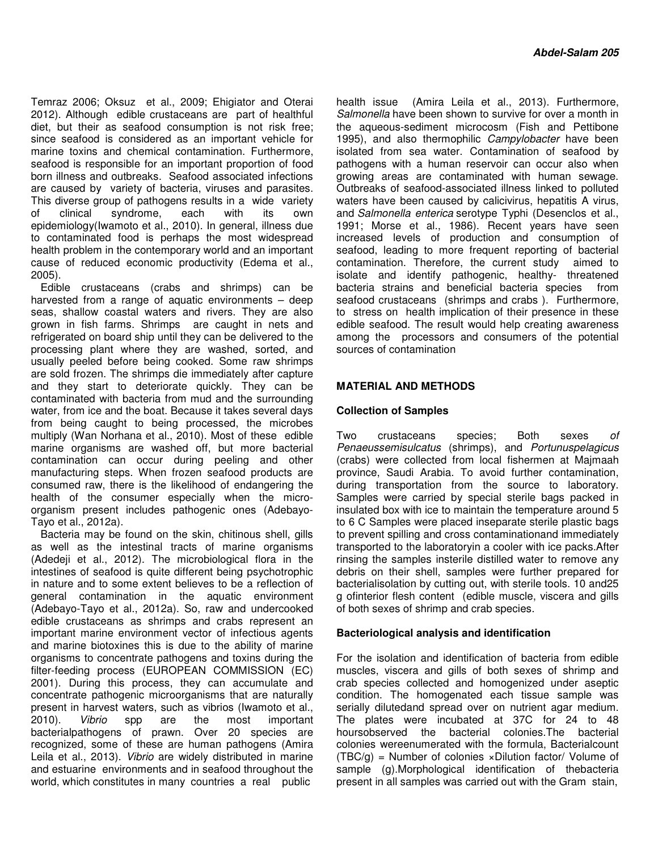Temraz 2006; Oksuz et al., 2009; Ehigiator and Oterai 2012). Although edible crustaceans are part of healthful diet, but their as seafood consumption is not risk free; since seafood is considered as an important vehicle for marine toxins and chemical contamination. Furthermore, seafood is responsible for an important proportion of food born illness and outbreaks. Seafood associated infections are caused by variety of bacteria, viruses and parasites. This diverse group of pathogens results in a wide variety of clinical syndrome, each with its own epidemiology(Iwamoto et al., 2010). In general, illness due to contaminated food is perhaps the most widespread health problem in the contemporary world and an important cause of reduced economic productivity (Edema et al., 2005).

Edible crustaceans (crabs and shrimps) can be harvested from a range of aquatic environments – deep seas, shallow coastal waters and rivers. They are also grown in fish farms. Shrimps are caught in nets and refrigerated on board ship until they can be delivered to the processing plant where they are washed, sorted, and usually peeled before being cooked. Some raw shrimps are sold frozen. The shrimps die immediately after capture and they start to deteriorate quickly. They can be contaminated with bacteria from mud and the surrounding water, from ice and the boat. Because it takes several days from being caught to being processed, the microbes multiply (Wan Norhana et al., 2010). Most of these edible marine organisms are washed off, but more bacterial contamination can occur during peeling and other manufacturing steps. When frozen seafood products are consumed raw, there is the likelihood of endangering the health of the consumer especially when the microorganism present includes pathogenic ones (Adebayo-Tayo et al., 2012a).

Bacteria may be found on the skin, chitinous shell, gills as well as the intestinal tracts of marine organisms (Adedeji et al., 2012). The microbiological flora in the intestines of seafood is quite different being psychotrophic in nature and to some extent believes to be a reflection of general contamination in the aquatic environment (Adebayo-Tayo et al., 2012a). So, raw and undercooked edible crustaceans as shrimps and crabs represent an important marine environment vector of infectious agents and marine biotoxines this is due to the ability of marine organisms to concentrate pathogens and toxins during the filter-feeding process (EUROPEAN COMMISSION (EC) 2001). During this process, they can accumulate and concentrate pathogenic microorganisms that are naturally present in harvest waters, such as vibrios (Iwamoto et al., 2010). Vibrio spp are the most important bacterialpathogens of prawn. Over 20 species are recognized, some of these are human pathogens (Amira Leila et al., 2013). Vibrio are widely distributed in marine and estuarine environments and in seafood throughout the world, which constitutes in many countries a real public

health issue (Amira Leila et al., 2013). Furthermore, Salmonella have been shown to survive for over a month in the aqueous-sediment microcosm (Fish and Pettibone 1995), and also thermophilic Campylobacter have been isolated from sea water. Contamination of seafood by pathogens with a human reservoir can occur also when growing areas are contaminated with human sewage. Outbreaks of seafood-associated illness linked to polluted waters have been caused by calicivirus, hepatitis A virus, and Salmonella enterica serotype Typhi (Desenclos et al., 1991; Morse et al., 1986). Recent years have seen increased levels of production and consumption of seafood, leading to more frequent reporting of bacterial contamination. Therefore, the current study aimed to isolate and identify pathogenic, healthy- threatened bacteria strains and beneficial bacteria species from seafood crustaceans (shrimps and crabs ). Furthermore, to stress on health implication of their presence in these edible seafood. The result would help creating awareness among the processors and consumers of the potential sources of contamination

### **MATERIAL AND METHODS**

#### **Collection of Samples**

Two crustaceans species; Both sexes of Penaeussemisulcatus (shrimps), and Portunuspelagicus (crabs) were collected from local fishermen at Majmaah province, Saudi Arabia. To avoid further contamination, during transportation from the source to laboratory. Samples were carried by special sterile bags packed in insulated box with ice to maintain the temperature around 5 to 6 C Samples were placed inseparate sterile plastic bags to prevent spilling and cross contaminationand immediately transported to the laboratoryin a cooler with ice packs.After rinsing the samples insterile distilled water to remove any debris on their shell, samples were further prepared for bacterialisolation by cutting out, with sterile tools. 10 and25 g ofinterior flesh content (edible muscle, viscera and gills of both sexes of shrimp and crab species.

#### **Bacteriological analysis and identification**

For the isolation and identification of bacteria from edible muscles, viscera and gills of both sexes of shrimp and crab species collected and homogenized under aseptic condition. The homogenated each tissue sample was serially dilutedand spread over on nutrient agar medium. The plates were incubated at 37C for 24 to 48 hoursobserved the bacterial colonies.The bacterial colonies wereenumerated with the formula, Bacterialcount  $(TBC/g)$  = Number of colonies  $\times$ Dilution factor/ Volume of sample (g).Morphological identification of thebacteria present in all samples was carried out with the Gram stain,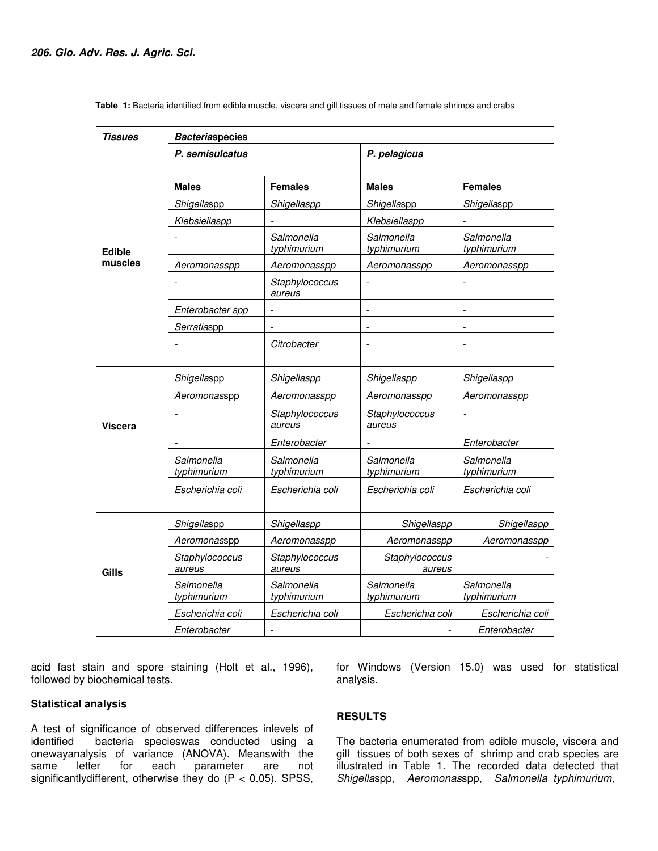| Tissues           | <b>Bacteriaspecies</b>    |                           |                           |                           |
|-------------------|---------------------------|---------------------------|---------------------------|---------------------------|
|                   | P. semisulcatus           |                           | P. pelagicus              |                           |
|                   | <b>Males</b>              | <b>Females</b>            | <b>Males</b>              | <b>Females</b>            |
| Edible<br>muscles | Shigellaspp               | Shigellaspp               | Shigellaspp               | Shigellaspp               |
|                   | Klebsiellaspp             |                           | Klebsiellaspp             |                           |
|                   |                           | Salmonella<br>typhimurium | Salmonella<br>typhimurium | Salmonella<br>typhimurium |
|                   | Aeromonasspp              | Aeromonasspp              | Aeromonasspp              | Aeromonasspp              |
|                   |                           | Staphylococcus<br>aureus  |                           |                           |
|                   | Enterobacter spp          |                           |                           |                           |
|                   | Serratiaspp               |                           |                           |                           |
|                   |                           | Citrobacter               |                           |                           |
| <b>Viscera</b>    | Shigellaspp               | Shigellaspp               | Shigellaspp               | Shigellaspp               |
|                   | Aeromonasspp              | Aeromonasspp              | Aeromonasspp              | Aeromonasspp              |
|                   |                           | Staphylococcus<br>aureus  | Staphylococcus<br>aureus  |                           |
|                   |                           | Enterobacter              |                           | Enterobacter              |
|                   | Salmonella<br>typhimurium | Salmonella<br>typhimurium | Salmonella<br>typhimurium | Salmonella<br>typhimurium |
|                   | Escherichia coli          | Escherichia coli          | Escherichia coli          | Escherichia coli          |
| Gills             | Shigellaspp               | Shigellaspp               | Shigellaspp               | Shigellaspp               |
|                   | Aeromonasspp              | Aeromonasspp              | Aeromonasspp              | Aeromonasspp              |
|                   | Staphylococcus<br>aureus  | Staphylococcus<br>aureus  | Staphylococcus<br>aureus  |                           |
|                   | Salmonella<br>typhimurium | Salmonella<br>typhimurium | Salmonella<br>typhimurium | Salmonella<br>typhimurium |
|                   | Escherichia coli          | Escherichia coli          | Escherichia coli          | Escherichia coli          |
|                   | Enterobacter              |                           |                           | Enterobacter              |

 **Table 1:** Bacteria identified from edible muscle, viscera and gill tissues of male and female shrimps and crabs

acid fast stain and spore staining (Holt et al., 1996), followed by biochemical tests.

#### **Statistical analysis**

A test of significance of observed differences inlevels of identified bacteria specieswas conducted using a bacteria specieswas conducted using a onewayanalysis of variance (ANOVA). Meanswith the same letter for each parameter are not significantly different, otherwise they do  $(P < 0.05)$ . SPSS,

for Windows (Version 15.0) was used for statistical analysis.

## **RESULTS**

The bacteria enumerated from edible muscle, viscera and gill tissues of both sexes of shrimp and crab species are illustrated in Table 1. The recorded data detected that Shigellaspp, Aeromonasspp, Salmonella typhimurium,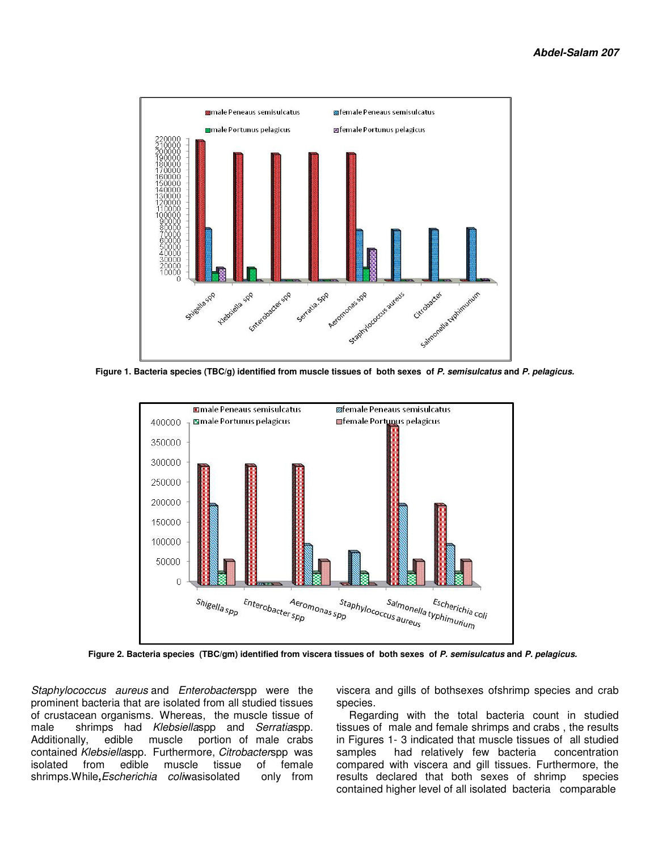

 **Figure 1. Bacteria species (TBC/g) identified from muscle tissues of both sexes of P. semisulcatus and P. pelagicus.** 



 **Figure 2. Bacteria species (TBC/gm) identified from viscera tissues of both sexes of P. semisulcatus and P. pelagicus.** 

Staphylococcus aureus and Enterobacterspp were the prominent bacteria that are isolated from all studied tissues of crustacean organisms. Whereas, the muscle tissue of male shrimps had Klebsiellaspp and Serratiaspp. Additionally, edible muscle portion of male crabs contained Klebsiellaspp. Furthermore, Citrobacterspp was isolated from edible muscle tissue of female shrimps.While**,**Escherichia coliwasisolated only from viscera and gills of bothsexes ofshrimp species and crab species.

 Regarding with the total bacteria count in studied tissues of male and female shrimps and crabs , the results in Figures 1- 3 indicated that muscle tissues of all studied samples had relatively few bacteria concentration compared with viscera and gill tissues. Furthermore, the results declared that both sexes of shrimp species contained higher level of all isolated bacteria comparable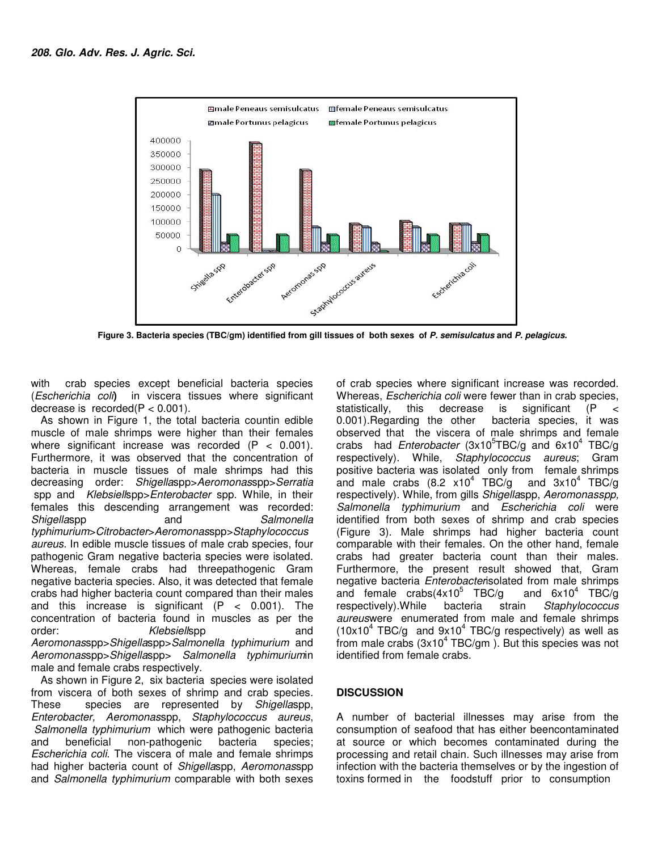

 **Figure 3. Bacteria species (TBC/gm) identified from gill tissues of both sexes of P. semisulcatus and P. pelagicus.** 

with crab species except beneficial bacteria species (Escherichia coli**)** in viscera tissues where significant decrease is recorded( $P < 0.001$ ).

As shown in Figure 1, the total bacteria countin edible muscle of male shrimps were higher than their females where significant increase was recorded  $(P < 0.001)$ . Furthermore, it was observed that the concentration of bacteria in muscle tissues of male shrimps had this decreasing order: Shigellaspp>Aeromonasspp>Serratia spp and Klebsiellspp>Enterobacter spp. While, in their females this descending arrangement was recorded: Shigellaspp and Salmonella typhimurium>Citrobacter>Aeromonasspp>Staphylococcus aureus. In edible muscle tissues of male crab species, four pathogenic Gram negative bacteria species were isolated. Whereas, female crabs had threepathogenic Gram negative bacteria species. Also, it was detected that female crabs had higher bacteria count compared than their males and this increase is significant  $(P < 0.001)$ . The concentration of bacteria found in muscles as per the order: Klebsiellspp and Aeromonasspp>Shigellaspp>Salmonella typhimurium and Aeromonasspp>Shigellaspp> Salmonella typhimuriumin male and female crabs respectively.

As shown in Figure 2, six bacteria species were isolated from viscera of both sexes of shrimp and crab species.<br>These species are represented by *Shigellaspp*. species are represented by Shigellaspp, Enterobacter, Aeromonasspp, Staphylococcus aureus, Salmonella typhimurium which were pathogenic bacteria and beneficial non-pathogenic bacteria species; Escherichia coli. The viscera of male and female shrimps had higher bacteria count of Shigellaspp, Aeromonasspp and Salmonella typhimurium comparable with both sexes

of crab species where significant increase was recorded. Whereas, Escherichia coli were fewer than in crab species, statistically, this decrease is significant (P < 0.001).Regarding the other bacteria species, it was observed that the viscera of male shrimps and female crabs had Enterobacter (3x10<sup>5</sup>TBC/g and 6x10<sup>4</sup> TBC/g respectively). While, Staphylococcus aureus; Gram positive bacteria was isolated only from female shrimps and male crabs (8.2 x10<sup>4</sup> TBC/g and  $3x10^4$  TBC/g respectively). While, from gills Shigellaspp, Aeromonasspp, Salmonella typhimurium and Escherichia coli were identified from both sexes of shrimp and crab species (Figure 3). Male shrimps had higher bacteria count comparable with their females. On the other hand, female crabs had greater bacteria count than their males. Furthermore, the present result showed that, Gram negative bacteria *Enterobacteri*solated from male shrimps and female  $crabs(4x10^5)$  TBC/g TBC/g and  $6x10^4$  TBC/g respectively).While bacteria strain Staphylococcus aureuswere enumerated from male and female shrimps  $(10x10^4 \text{ TBC/g}$  and  $9x10^4 \text{ TBC/g}$  respectively) as well as from male crabs ( $3x10^4$  TBC/gm). But this species was not identified from female crabs.

# **DISCUSSION**

A number of bacterial illnesses may arise from the consumption of seafood that has either beencontaminated at source or which becomes contaminated during the processing and retail chain. Such illnesses may arise from infection with the bacteria themselves or by the ingestion of toxins formed in the foodstuff prior to consumption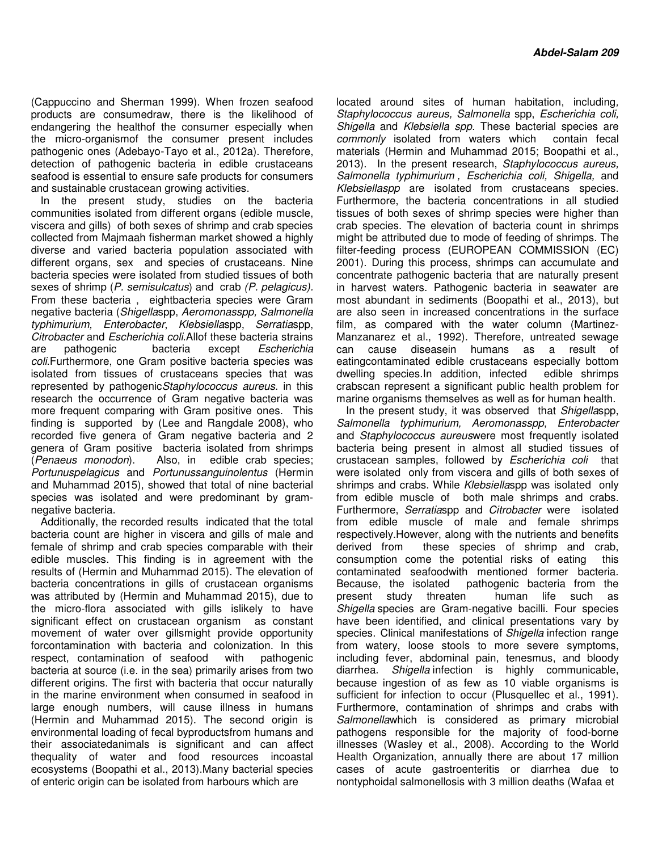(Cappuccino and Sherman 1999). When frozen seafood products are consumedraw, there is the likelihood of endangering the healthof the consumer especially when the micro-organismof the consumer present includes pathogenic ones (Adebayo-Tayo et al., 2012a). Therefore, detection of pathogenic bacteria in edible crustaceans seafood is essential to ensure safe products for consumers and sustainable crustacean growing activities.

In the present study, studies on the bacteria communities isolated from different organs (edible muscle, viscera and gills) of both sexes of shrimp and crab species collected from Majmaah fisherman market showed a highly diverse and varied bacteria population associated with different organs, sex and species of crustaceans. Nine bacteria species were isolated from studied tissues of both sexes of shrimp (P. semisulcatus) and crab (P. pelagicus). From these bacteria , eightbacteria species were Gram negative bacteria (Shigellaspp, Aeromonasspp, Salmonella typhimurium, Enterobacter, Klebsiellaspp, Serratiaspp, Citrobacter and Escherichia coli.Allof these bacteria strains are pathogenic bacteria except Escherichia coli.Furthermore, one Gram positive bacteria species was isolated from tissues of crustaceans species that was represented by pathogenic Staphylococcus aureus. in this research the occurrence of Gram negative bacteria was more frequent comparing with Gram positive ones. This finding is supported by (Lee and Rangdale 2008), who recorded five genera of Gram negative bacteria and 2 genera of Gram positive bacteria isolated from shrimps (Penaeus monodon). Also, in edible crab species; Portunuspelagicus and Portunussanguinolentus (Hermin and Muhammad 2015), showed that total of nine bacterial species was isolated and were predominant by gramnegative bacteria.

Additionally, the recorded results indicated that the total bacteria count are higher in viscera and gills of male and female of shrimp and crab species comparable with their edible muscles. This finding is in agreement with the results of (Hermin and Muhammad 2015). The elevation of bacteria concentrations in gills of crustacean organisms was attributed by (Hermin and Muhammad 2015), due to the micro-flora associated with gills islikely to have significant effect on crustacean organism as constant movement of water over gillsmight provide opportunity forcontamination with bacteria and colonization. In this respect, contamination of seafood with pathogenic bacteria at source (i.e. in the sea) primarily arises from two different origins. The first with bacteria that occur naturally in the marine environment when consumed in seafood in large enough numbers, will cause illness in humans (Hermin and Muhammad 2015). The second origin is environmental loading of fecal byproductsfrom humans and their associatedanimals is significant and can affect thequality of water and food resources incoastal ecosystems (Boopathi et al., 2013).Many bacterial species of enteric origin can be isolated from harbours which are

located around sites of human habitation, including, Staphylococcus aureus, Salmonella spp, Escherichia coli, Shigella and Klebsiella spp. These bacterial species are commonly isolated from waters which contain fecal materials (Hermin and Muhammad 2015; Boopathi et al., 2013). In the present research, Staphylococcus aureus, Salmonella typhimurium, Escherichia coli, Shigella, and Klebsiellaspp are isolated from crustaceans species. Furthermore, the bacteria concentrations in all studied tissues of both sexes of shrimp species were higher than crab species. The elevation of bacteria count in shrimps might be attributed due to mode of feeding of shrimps. The filter-feeding process (EUROPEAN COMMISSION (EC) 2001). During this process, shrimps can accumulate and concentrate pathogenic bacteria that are naturally present in harvest waters. Pathogenic bacteria in seawater are most abundant in sediments (Boopathi et al., 2013), but are also seen in increased concentrations in the surface film, as compared with the water column (Martinez-Manzanarez et al., 1992). Therefore, untreated sewage can cause diseasein humans as a result of eatingcontaminated edible crustaceans especially bottom dwelling species.In addition, infected edible shrimps crabscan represent a significant public health problem for marine organisms themselves as well as for human health.

In the present study, it was observed that Shigellaspp, Salmonella typhimurium, Aeromonasspp, Enterobacter and Staphylococcus aureuswere most frequently isolated bacteria being present in almost all studied tissues of crustacean samples, followed by Escherichia coli that were isolated only from viscera and gills of both sexes of shrimps and crabs. While Klebsiellaspp was isolated only from edible muscle of both male shrimps and crabs. Furthermore, Serratiaspp and Citrobacter were isolated from edible muscle of male and female shrimps respectively.However, along with the nutrients and benefits derived from these species of shrimp and crab, consumption come the potential risks of eating this contaminated seafoodwith mentioned former bacteria. Because, the isolated pathogenic bacteria from the present study threaten buman life such as present study threaten human life such as Shigella species are Gram-negative bacilli. Four species have been identified, and clinical presentations vary by species. Clinical manifestations of Shigella infection range from watery, loose stools to more severe symptoms, including fever, abdominal pain, tenesmus, and bloody diarrhea. Shigella infection is highly communicable, because ingestion of as few as 10 viable organisms is sufficient for infection to occur (Plusquellec et al., 1991). Furthermore, contamination of shrimps and crabs with Salmonellawhich is considered as primary microbial pathogens responsible for the majority of food-borne illnesses (Wasley et al., 2008). According to the World Health Organization, annually there are about 17 million cases of acute gastroenteritis or diarrhea due to nontyphoidal salmonellosis with 3 million deaths (Wafaa et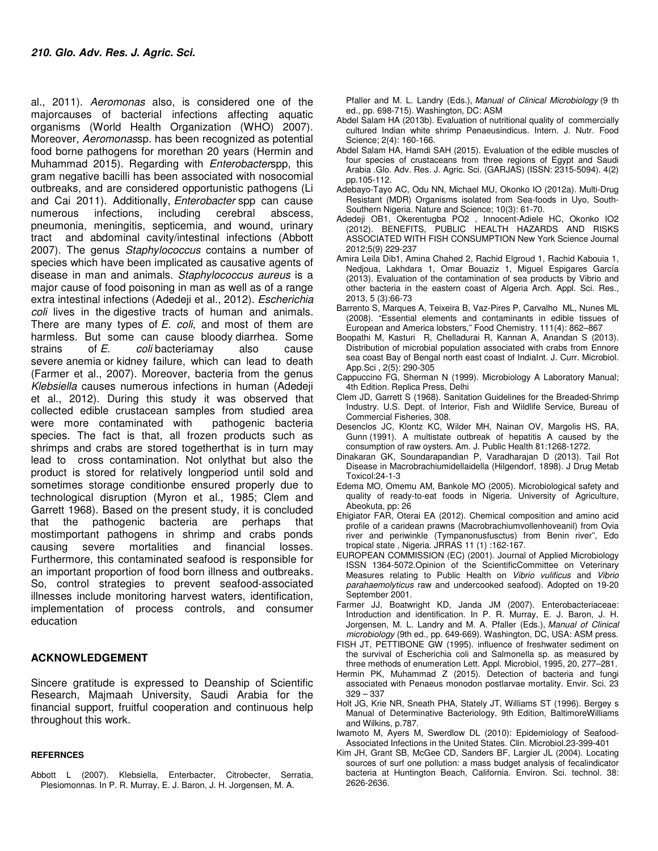al., 2011). Aeromonas also, is considered one of the majorcauses of bacterial infections affecting aquatic organisms (World Health Organization (WHO) 2007). Moreover, Aeromonassp. has been recognized as potential food borne pathogens for morethan 20 years (Hermin and Muhammad 2015). Regarding with Enterobacterspp, this gram negative bacilli has been associated with nosocomial outbreaks, and are considered opportunistic pathogens (Li and Cai 2011). Additionally, Enterobacter spp can cause numerous infections, including cerebral abscess, pneumonia, meningitis, septicemia, and wound, urinary tract and abdominal cavity/intestinal infections (Abbott 2007). The genus Staphylococcus contains a number of species which have been implicated as causative agents of disease in man and animals. Staphylococcus aureus is a major cause of food poisoning in man as well as of a range extra intestinal infections (Adedeji et al., 2012). Escherichia coli lives in the digestive tracts of human and animals. There are many types of  $E$ . coli, and most of them are harmless. But some can cause bloody diarrhea. Some strains of E. coli bacteriamay also cause severe anemia or kidney failure, which can lead to death (Farmer et al., 2007). Moreover, bacteria from the genus Klebsiella causes numerous infections in human (Adedeji et al., 2012). During this study it was observed that collected edible crustacean samples from studied area were more contaminated with pathogenic bacteria species. The fact is that, all frozen products such as shrimps and crabs are stored togetherthat is in turn may lead to cross contamination. Not onlythat but also the product is stored for relatively longperiod until sold and sometimes storage conditionbe ensured properly due to technological disruption (Myron et al., 1985; Clem and Garrett 1968). Based on the present study, it is concluded that the pathogenic bacteria are perhaps that mostimportant pathogens in shrimp and crabs ponds causing severe mortalities and financial losses. Furthermore, this contaminated seafood is responsible for an important proportion of food born illness and outbreaks. So, control strategies to prevent seafood-associated illnesses include monitoring harvest waters, identification, implementation of process controls, and consumer education

#### **ACKNOWLEDGEMENT**

Sincere gratitude is expressed to Deanship of Scientific Research, Majmaah University, Saudi Arabia for the financial support, fruitful cooperation and continuous help throughout this work.

#### **REFERNCES**

Abbott L (2007). Klebsiella, Enterbacter, Citrobecter, Serratia, Plesiomonnas. In P. R. Murray, E. J. Baron, J. H. Jorgensen, M. A.

Pfaller and M. L. Landry (Eds.), Manual of Clinical Microbiology (9 th ed., pp. 698-715). Washington, DC: ASM

- Abdel Salam HA (2013b). Evaluation of nutritional quality of commercially cultured Indian white shrimp Penaeusindicus. Intern. J. Nutr. Food Science; 2(4): 160-166.
- Abdel Salam HA, Hamdi SAH (2015). Evaluation of the edible muscles of four species of crustaceans from three regions of Egypt and Saudi Arabia .Glo. Adv. Res. J. Agric. Sci. (GARJAS) (ISSN: 2315-5094). 4(2) pp.105-112.
- Adebayo-Tayo AC, Odu NN, Michael MU, Okonko IO (2012a). Multi-Drug Resistant (MDR) Organisms isolated from Sea-foods in Uyo, South-Southern Nigeria. Nature and Science; 10(3): 61-70.
- Adedeji OB1, Okerentugba PO2 , Innocent-Adiele HC, Okonko IO2 (2012). BENEFITS, PUBLIC HEALTH HAZARDS AND RISKS ASSOCIATED WITH FISH CONSUMPTION New York Science Journal 2012;5(9) 229-237
- Amira Leila Dib1, Amina Chahed 2, Rachid Elgroud 1, Rachid Kabouia 1, Nedjoua, Lakhdara 1, Omar Bouaziz 1, Miguel Espigares García (2013). Evaluation of the contamination of sea products by Vibrio and other bacteria in the eastern coast of Algeria Arch. Appl. Sci. Res., 2013, 5 (3):66-73
- Barrento S, Marques A, Teixeira B, Vaz-Pires P, Carvalho ML, Nunes ML (2008). "Essential elements and contaminants in edible tissues of European and America lobsters," Food Chemistry. 111(4): 862–867
- Boopathi M, Kasturi R, Chelladurai R, Kannan A, Anandan S (2013). Distribution of microbial population associated with crabs from Ennore sea coast Bay of Bengal north east coast of IndiaInt. J. Curr. Microbiol. App.Sci , 2(5): 290-305
- Cappuccino FG, Sherman N (1999). Microbiology A Laboratory Manual; 4th Edition. Replica Press, Delhi
- Clem JD, Garrett S (1968). Sanitation Guidelines for the Breaded-Shrimp Industry. U.S. Dept. of Interior, Fish and Wildlife Service, Bureau of Commercial Fisheries, 308.
- Desenclos JC, Klontz KC, Wilder MH, Nainan OV, Margolis HS, RA, Gunn (1991). A multistate outbreak of hepatitis A caused by the consumption of raw oysters. Am. J. Public Health 81:1268-1272.
- Dinakaran GK, Soundarapandian P, Varadharajan D (2013). Tail Rot Disease in Macrobrachiumidellaidella (Hilgendorf, 1898). J Drug Metab Toxicol:24-1-3
- Edema MO, Omemu AM, Bankole MO (2005). Microbiological safety and quality of ready-to-eat foods in Nigeria. University of Agriculture, Abeokuta, pp: 26
- Ehigiator FAR, Oterai EA (2012). Chemical composition and amino acid profile of a caridean prawns (Macrobrachiumvollenhoveanil) from Ovia river and periwinkle (Tympanonusfusctus) from Benin river", Edo tropical state , Nigeria. JRRAS 11 (1) :162-167.
- EUROPEAN COMMISSION (EC) (2001). Journal of Applied Microbiology ISSN 1364-5072.Opinion of the ScientificCommittee on Veterinary Measures relating to Public Health on Vibrio vulificus and Vibrio parahaemolyticus raw and undercooked seafood). Adopted on 19-20 September 2001.
- Farmer JJ, Boatwright KD, Janda JM (2007). Enterobacteriaceae: Introduction and identification. In P. R. Murray, E. J. Baron, J. H. Jorgensen, M. L. Landry and M. A. Pfaller (Eds.), Manual of Clinical microbiology (9th ed., pp. 649-669). Washington, DC, USA: ASM press.
- FISH JT, PETTIBONE GW (1995). influence of freshwater sediment on the survival of Escherichia coli and Salmonella sp. as measured by three methods of enumeration Lett. Appl. Microbiol, 1995, 20, 277–281.
- Hermin PK, Muhammad Z (2015). Detection of bacteria and fungi associated with Penaeus monodon postlarvae mortality. Envir. Sci. 23 329 – 337
- Holt JG, Krie NR, Sneath PHA, Stately JT, Williams ST (1996). Bergey s Manual of Determinative Bacteriology, 9th Edition, BaltimoreWilliams and Wilkins, p.787.
- Iwamoto M, Ayers M, Swerdlow DL (2010): Epidemiology of Seafood-Associated Infections in the United States. Clin. Microbiol.23-399-401
- Kim JH, Grant SB, McGee CD, Sanders BF, Largier JL (2004). Locating sources of surf one pollution: a mass budget analysis of fecalindicator bacteria at Huntington Beach, California. Environ. Sci. technol. 38: 2626-2636.